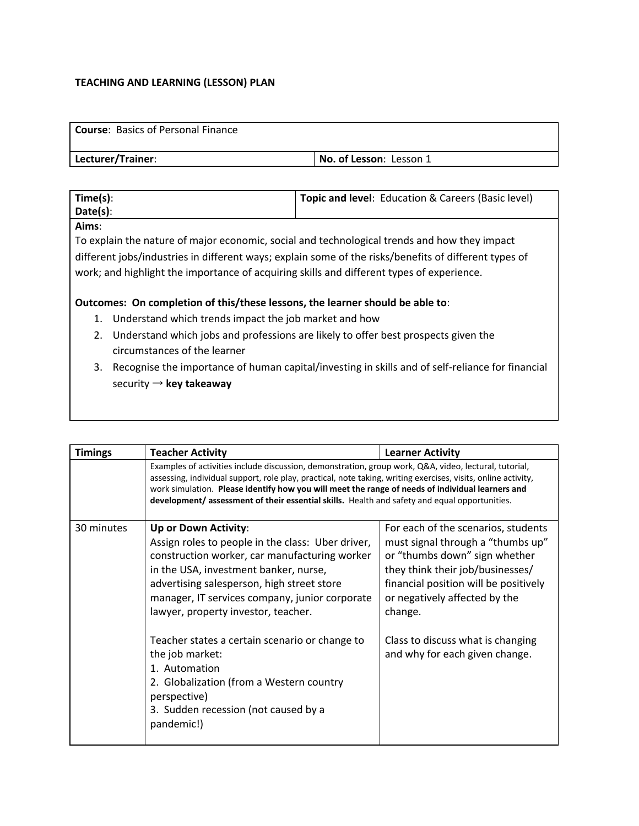# **TEACHING AND LEARNING (LESSON) PLAN**

| <b>Course:</b> Basics of Personal Finance |                                |
|-------------------------------------------|--------------------------------|
| Lecturer/Trainer:                         | <b>No. of Lesson: Lesson 1</b> |

| Time(s): | Topic and level: Education & Careers (Basic level) |
|----------|----------------------------------------------------|
| Date(s): |                                                    |
|          |                                                    |

#### **Aims**:

To explain the nature of major economic, social and technological trends and how they impact different jobs/industries in different ways; explain some of the risks/benefits of different types of work; and highlight the importance of acquiring skills and different types of experience.

### **Outcomes: On completion of this/these lessons, the learner should be able to**:

- 1. Understand which trends impact the job market and how
- 2. Understand which jobs and professions are likely to offer best prospects given the circumstances of the learner
- 3. Recognise the importance of human capital/investing in skills and of self-reliance for financial security → **key takeaway**

| <b>Timings</b> | <b>Teacher Activity</b>                                                                                                                                                                                                                                                                                                                                                                                                                                                                                            | <b>Learner Activity</b>                                                                                                                                                                                                                                                                                   |
|----------------|--------------------------------------------------------------------------------------------------------------------------------------------------------------------------------------------------------------------------------------------------------------------------------------------------------------------------------------------------------------------------------------------------------------------------------------------------------------------------------------------------------------------|-----------------------------------------------------------------------------------------------------------------------------------------------------------------------------------------------------------------------------------------------------------------------------------------------------------|
|                | Examples of activities include discussion, demonstration, group work, Q&A, video, lectural, tutorial,<br>assessing, individual support, role play, practical, note taking, writing exercises, visits, online activity,<br>work simulation. Please identify how you will meet the range of needs of individual learners and<br>development/assessment of their essential skills. Health and safety and equal opportunities.                                                                                         |                                                                                                                                                                                                                                                                                                           |
| 30 minutes     | Up or Down Activity:<br>Assign roles to people in the class: Uber driver,<br>construction worker, car manufacturing worker<br>in the USA, investment banker, nurse,<br>advertising salesperson, high street store<br>manager, IT services company, junior corporate<br>lawyer, property investor, teacher.<br>Teacher states a certain scenario or change to<br>the job market:<br>1. Automation<br>2. Globalization (from a Western country<br>perspective)<br>3. Sudden recession (not caused by a<br>pandemic!) | For each of the scenarios, students<br>must signal through a "thumbs up"<br>or "thumbs down" sign whether<br>they think their job/businesses/<br>financial position will be positively<br>or negatively affected by the<br>change.<br>Class to discuss what is changing<br>and why for each given change. |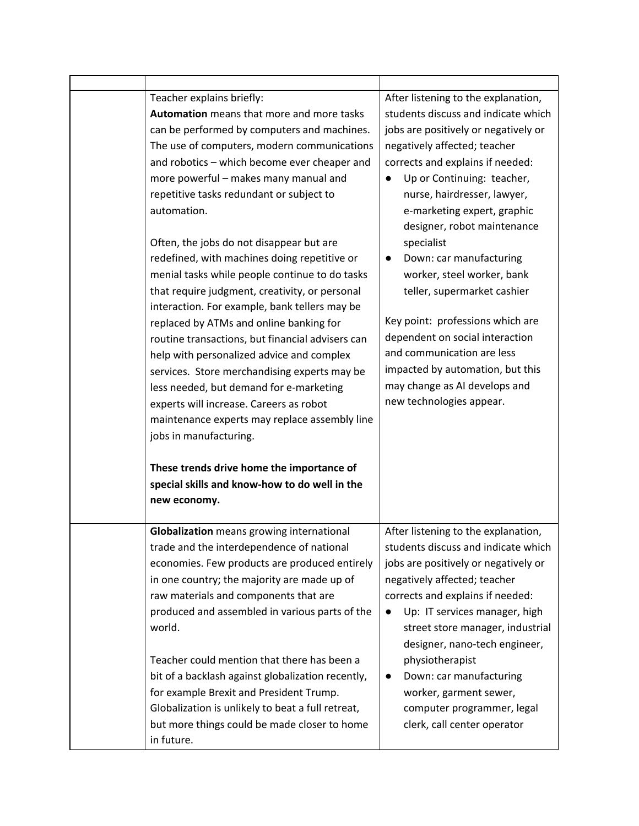| Teacher explains briefly:<br>Automation means that more and more tasks<br>can be performed by computers and machines.<br>The use of computers, modern communications<br>and robotics - which become ever cheaper and<br>more powerful - makes many manual and<br>repetitive tasks redundant or subject to<br>automation.<br>Often, the jobs do not disappear but are<br>redefined, with machines doing repetitive or<br>menial tasks while people continue to do tasks<br>that require judgment, creativity, or personal<br>interaction. For example, bank tellers may be<br>replaced by ATMs and online banking for<br>routine transactions, but financial advisers can<br>help with personalized advice and complex<br>services. Store merchandising experts may be<br>less needed, but demand for e-marketing<br>experts will increase. Careers as robot<br>maintenance experts may replace assembly line<br>jobs in manufacturing.<br>These trends drive home the importance of<br>special skills and know-how to do well in the<br>new economy. | After listening to the explanation,<br>students discuss and indicate which<br>jobs are positively or negatively or<br>negatively affected; teacher<br>corrects and explains if needed:<br>Up or Continuing: teacher,<br>$\bullet$<br>nurse, hairdresser, lawyer,<br>e-marketing expert, graphic<br>designer, robot maintenance<br>specialist<br>Down: car manufacturing<br>$\bullet$<br>worker, steel worker, bank<br>teller, supermarket cashier<br>Key point: professions which are<br>dependent on social interaction<br>and communication are less<br>impacted by automation, but this<br>may change as AI develops and<br>new technologies appear. |
|------------------------------------------------------------------------------------------------------------------------------------------------------------------------------------------------------------------------------------------------------------------------------------------------------------------------------------------------------------------------------------------------------------------------------------------------------------------------------------------------------------------------------------------------------------------------------------------------------------------------------------------------------------------------------------------------------------------------------------------------------------------------------------------------------------------------------------------------------------------------------------------------------------------------------------------------------------------------------------------------------------------------------------------------------|---------------------------------------------------------------------------------------------------------------------------------------------------------------------------------------------------------------------------------------------------------------------------------------------------------------------------------------------------------------------------------------------------------------------------------------------------------------------------------------------------------------------------------------------------------------------------------------------------------------------------------------------------------|
| Globalization means growing international<br>trade and the interdependence of national<br>economies. Few products are produced entirely<br>in one country; the majority are made up of<br>raw materials and components that are<br>produced and assembled in various parts of the<br>world.<br>Teacher could mention that there has been a<br>bit of a backlash against globalization recently,<br>for example Brexit and President Trump.<br>Globalization is unlikely to beat a full retreat,<br>but more things could be made closer to home<br>in future.                                                                                                                                                                                                                                                                                                                                                                                                                                                                                        | After listening to the explanation,<br>students discuss and indicate which<br>jobs are positively or negatively or<br>negatively affected; teacher<br>corrects and explains if needed:<br>Up: IT services manager, high<br>$\bullet$<br>street store manager, industrial<br>designer, nano-tech engineer,<br>physiotherapist<br>Down: car manufacturing<br>worker, garment sewer,<br>computer programmer, legal<br>clerk, call center operator                                                                                                                                                                                                          |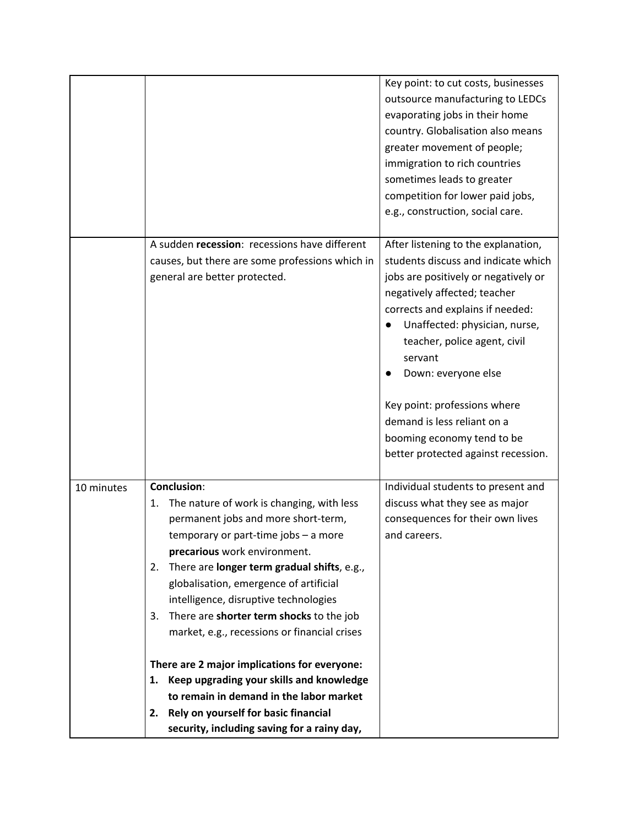|                                                                                                                                                                                                                                                                                                                                                                                                                                                                                                                                                                                                                           | Key point: to cut costs, businesses<br>outsource manufacturing to LEDCs<br>evaporating jobs in their home<br>country. Globalisation also means<br>greater movement of people;<br>immigration to rich countries<br>sometimes leads to greater<br>competition for lower paid jobs,<br>e.g., construction, social care.                                                                                                          |
|---------------------------------------------------------------------------------------------------------------------------------------------------------------------------------------------------------------------------------------------------------------------------------------------------------------------------------------------------------------------------------------------------------------------------------------------------------------------------------------------------------------------------------------------------------------------------------------------------------------------------|-------------------------------------------------------------------------------------------------------------------------------------------------------------------------------------------------------------------------------------------------------------------------------------------------------------------------------------------------------------------------------------------------------------------------------|
| A sudden recession: recessions have different<br>causes, but there are some professions which in<br>general are better protected.                                                                                                                                                                                                                                                                                                                                                                                                                                                                                         | After listening to the explanation,<br>students discuss and indicate which<br>jobs are positively or negatively or<br>negatively affected; teacher<br>corrects and explains if needed:<br>Unaffected: physician, nurse,<br>teacher, police agent, civil<br>servant<br>Down: everyone else<br>Key point: professions where<br>demand is less reliant on a<br>booming economy tend to be<br>better protected against recession. |
| <b>Conclusion:</b><br>The nature of work is changing, with less<br>1.<br>permanent jobs and more short-term,<br>temporary or part-time jobs - a more<br>precarious work environment.<br>There are longer term gradual shifts, e.g.,<br>2.<br>globalisation, emergence of artificial<br>intelligence, disruptive technologies<br>There are shorter term shocks to the job<br>3.<br>market, e.g., recessions or financial crises<br>There are 2 major implications for everyone:<br>Keep upgrading your skills and knowledge<br>1.<br>to remain in demand in the labor market<br>Rely on yourself for basic financial<br>2. | Individual students to present and<br>discuss what they see as major<br>consequences for their own lives<br>and careers.                                                                                                                                                                                                                                                                                                      |
|                                                                                                                                                                                                                                                                                                                                                                                                                                                                                                                                                                                                                           | security, including saving for a rainy day,                                                                                                                                                                                                                                                                                                                                                                                   |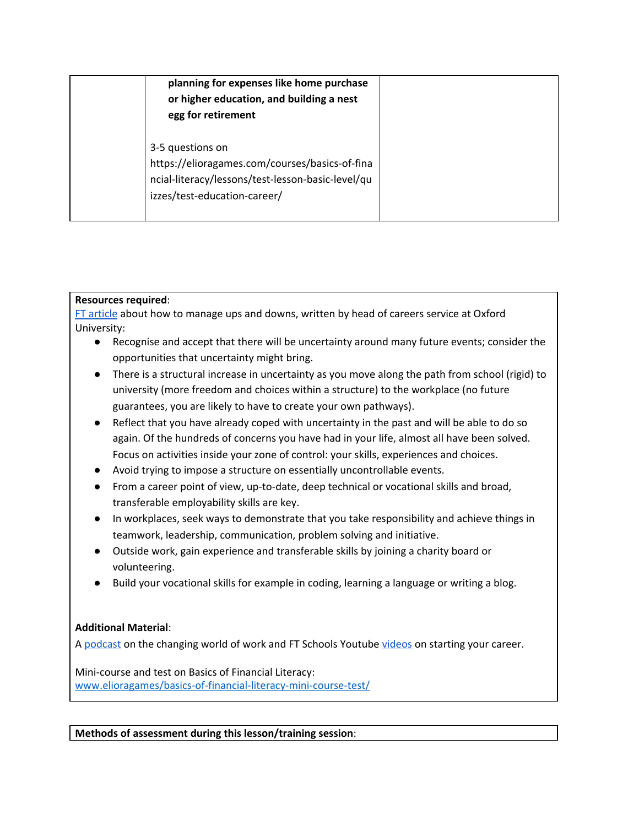| planning for expenses like home purchase<br>or higher education, and building a nest<br>egg for retirement                                              |  |
|---------------------------------------------------------------------------------------------------------------------------------------------------------|--|
| 3-5 questions on<br>https://elioragames.com/courses/basics-of-fina<br>ncial-literacy/lessons/test-lesson-basic-level/qu<br>izzes/test-education-career/ |  |

# **Resources required**:

FT [article](https://www.ft.com/content/dbf6d632-2e55-11ea-84be-a548267b914b) about how to manage ups and downs, written by head of careers service at Oxford University:

- Recognise and accept that there will be uncertainty around many future events; consider the opportunities that uncertainty might bring.
- There is a structural increase in uncertainty as you move along the path from school (rigid) to university (more freedom and choices within a structure) to the workplace (no future guarantees, you are likely to have to create your own pathways).
- Reflect that you have already coped with uncertainty in the past and will be able to do so again. Of the hundreds of concerns you have had in your life, almost all have been solved. Focus on activities inside your zone of control: your skills, experiences and choices.
- Avoid trying to impose a structure on essentially uncontrollable events.
- From a career point of view, up-to-date, deep technical or vocational skills and broad, transferable employability skills are key.
- In workplaces, seek ways to demonstrate that you take responsibility and achieve things in teamwork, leadership, communication, problem solving and initiative.
- Outside work, gain experience and transferable skills by joining a charity board or volunteering.
- Build your vocational skills for example in coding, learning a language or writing a blog.

# **Additional Material**:

A [podcast](https://www.ft.com/video/1daf4cf3-563c-4d3d-aa3e-c0bf860b8008) on the changing world of work and FT Schools Youtube [videos](https://www.youtube.com/playlist?list=PLqIpf04KBv61XrP8rtadMl5YpVxZt7Wkc) on starting your career.

Mini-course and test on Basics of Financial Literacy: [www.elioragames/basics-of-financial-literacy-mini-course-test/](http://www.elioragames/basics-of-financial-literacy-mini-course-test/)

**Methods of assessment during this lesson/training session**: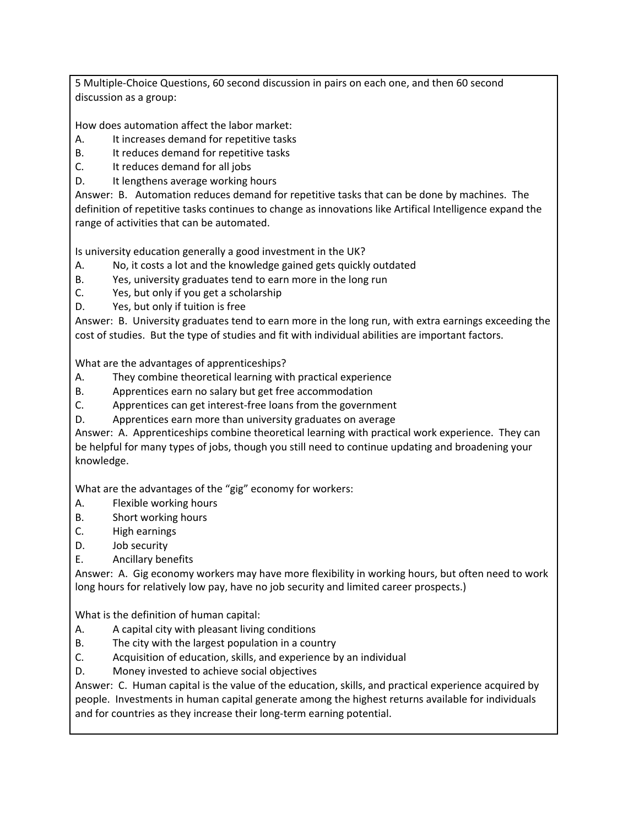5 Multiple-Choice Questions, 60 second discussion in pairs on each one, and then 60 second discussion as a group:

How does automation affect the labor market:

- A. It increases demand for repetitive tasks
- B. It reduces demand for repetitive tasks
- C. It reduces demand for all jobs
- D. It lengthens average working hours

Answer: B. Automation reduces demand for repetitive tasks that can be done by machines. The definition of repetitive tasks continues to change as innovations like Artifical Intelligence expand the range of activities that can be automated.

Is university education generally a good investment in the UK?

- A. No, it costs a lot and the knowledge gained gets quickly outdated
- B. Yes, university graduates tend to earn more in the long run
- C. Yes, but only if you get a scholarship
- D. Yes, but only if tuition is free

Answer: B. University graduates tend to earn more in the long run, with extra earnings exceeding the cost of studies. But the type of studies and fit with individual abilities are important factors.

What are the advantages of apprenticeships?

- A. They combine theoretical learning with practical experience
- B. Apprentices earn no salary but get free accommodation
- C. Apprentices can get interest-free loans from the government
- D. Apprentices earn more than university graduates on average

Answer: A. Apprenticeships combine theoretical learning with practical work experience. They can be helpful for many types of jobs, though you still need to continue updating and broadening your knowledge.

What are the advantages of the "gig" economy for workers:

- A. Flexible working hours
- B. Short working hours
- C. High earnings
- D. Job security
- E. Ancillary benefits

Answer: A. Gig economy workers may have more flexibility in working hours, but often need to work long hours for relatively low pay, have no job security and limited career prospects.)

What is the definition of human capital:

- A. A capital city with pleasant living conditions
- B. The city with the largest population in a country
- C. Acquisition of education, skills, and experience by an individual
- D. Money invested to achieve social objectives

Answer: C. Human capital is the value of the education, skills, and practical experience acquired by people. Investments in human capital generate among the highest returns available for individuals and for countries as they increase their long-term earning potential.